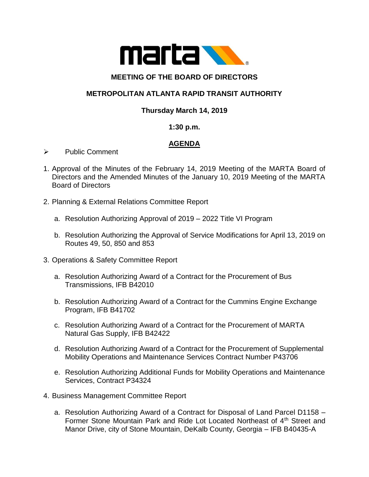

### **MEETING OF THE BOARD OF DIRECTORS**

# **METROPOLITAN ATLANTA RAPID TRANSIT AUTHORITY**

## **Thursday March 14, 2019**

#### **1:30 p.m.**

## **AGENDA**

- ➢ Public Comment
- 1. Approval of the Minutes of the February 14, 2019 Meeting of the MARTA Board of Directors and the Amended Minutes of the January 10, 2019 Meeting of the MARTA Board of Directors
- 2. Planning & External Relations Committee Report
	- a. Resolution Authorizing Approval of 2019 2022 Title VI Program
	- b. Resolution Authorizing the Approval of Service Modifications for April 13, 2019 on Routes 49, 50, 850 and 853
- 3. Operations & Safety Committee Report
	- a. Resolution Authorizing Award of a Contract for the Procurement of Bus Transmissions, IFB B42010
	- b. Resolution Authorizing Award of a Contract for the Cummins Engine Exchange Program, IFB B41702
	- c. Resolution Authorizing Award of a Contract for the Procurement of MARTA Natural Gas Supply, IFB B42422
	- d. Resolution Authorizing Award of a Contract for the Procurement of Supplemental Mobility Operations and Maintenance Services Contract Number P43706
	- e. Resolution Authorizing Additional Funds for Mobility Operations and Maintenance Services, Contract P34324
- 4. Business Management Committee Report
	- a. Resolution Authorizing Award of a Contract for Disposal of Land Parcel D1158 Former Stone Mountain Park and Ride Lot Located Northeast of 4<sup>th</sup> Street and Manor Drive, city of Stone Mountain, DeKalb County, Georgia – IFB B40435-A